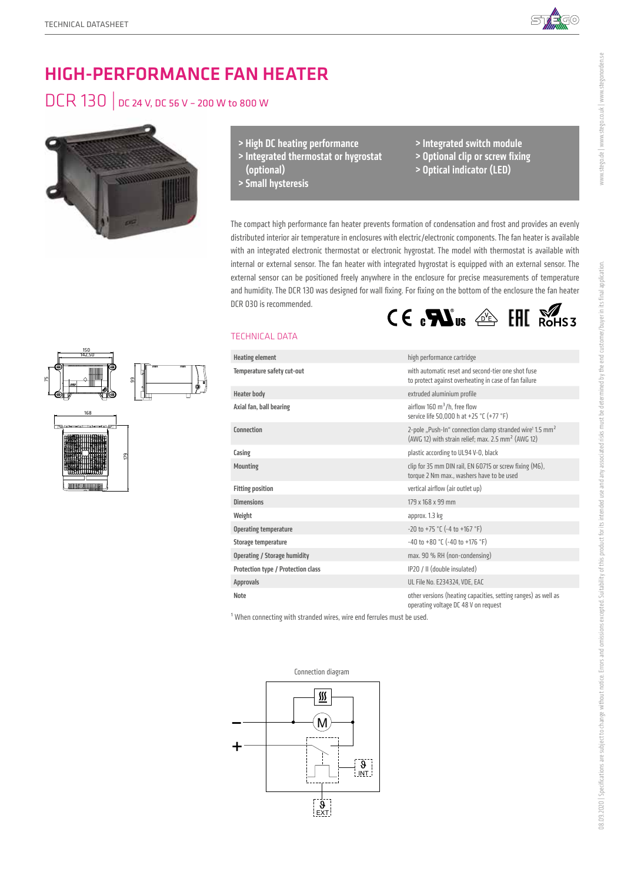150 142,50

168

179

99

75



www.stego.de | www.stego.co.uk | www.stegonorden.se

www.stego.de | www.stego.co.uk | www.stegonorden.se

# HIGH-PERFORMANCE FAN HEATER

## DCR 130 | DC 24 V, DC 56 V – 200 W to 800 W



- > High DC heating performance
- > Integrated thermostat or hygrostat (optional)
- > Small hysteresis
- > Integrated switch module
- > Optional clip or screw fixing
- > Optical indicator (LED)

The compact high performance fan heater prevents formation of condensation and frost and provides an evenly distributed interior air temperature in enclosures with electric/electronic components. The fan heater is available with an integrated electronic thermostat or electronic hygrostat. The model with thermostat is available with internal or external sensor. The fan heater with integrated hygrostat is equipped with an external sensor. The external sensor can be positioned freely anywhere in the enclosure for precise measurements of temperature and humidity. The DCR 130 was designed for wall fixing. For fixing on the bottom of the enclosure the fan heater DCR 030 is recommended.  $C \in \mathbf{R}$ us  $\text{aff} \mathbb{R}$ 

### TECHNICAL DATA

| <b>Heating element</b>              | high performance cartridge                                                                                                                         |
|-------------------------------------|----------------------------------------------------------------------------------------------------------------------------------------------------|
| Temperature safety cut-out          | with automatic reset and second-tier one shot fuse<br>to protect against overheating in case of fan failure                                        |
| <b>Heater body</b>                  | extruded aluminium profile                                                                                                                         |
| Axial fan, ball bearing             | airflow 160 $\mathrm{m}^3$ /h, free flow<br>service life 50,000 h at +25 °C (+77 °F)                                                               |
| Connection                          | 2-pole "Push-In" connection clamp stranded wire <sup>1</sup> 1.5 mm <sup>2</sup><br>(AWG 12) with strain relief; max. 2.5 mm <sup>2</sup> (AWG 12) |
| Casing                              | plastic according to UL94 V-0, black                                                                                                               |
| <b>Mounting</b>                     | clip for 35 mm DIN rail, EN 60715 or screw fixing (M6),<br>torque 2 Nm max., washers have to be used                                               |
| <b>Fitting position</b>             | vertical airflow (air outlet up)                                                                                                                   |
| <b>Dimensions</b>                   | 179 x 168 x 99 mm                                                                                                                                  |
| Weight                              | approx. 1.3 kg                                                                                                                                     |
| <b>Operating temperature</b>        | $-20$ to $+75$ °C ( $-4$ to $+167$ °F)                                                                                                             |
| Storage temperature                 | $-40$ to $+80$ °C ( $-40$ to $+176$ °F)                                                                                                            |
| <b>Operating / Storage humidity</b> | max. 90 % RH (non-condensing)                                                                                                                      |
| Protection type / Protection class  | IP20 / II (double insulated)                                                                                                                       |
| <b>Approvals</b>                    | UL File No. E234324, VDE, EAC                                                                                                                      |
| Note                                | other versions (heating capacities, setting ranges) as well as<br>operating voltage DC 48 V on request                                             |

 $1$  When connecting with stranded wires, wire end ferrules must be used.